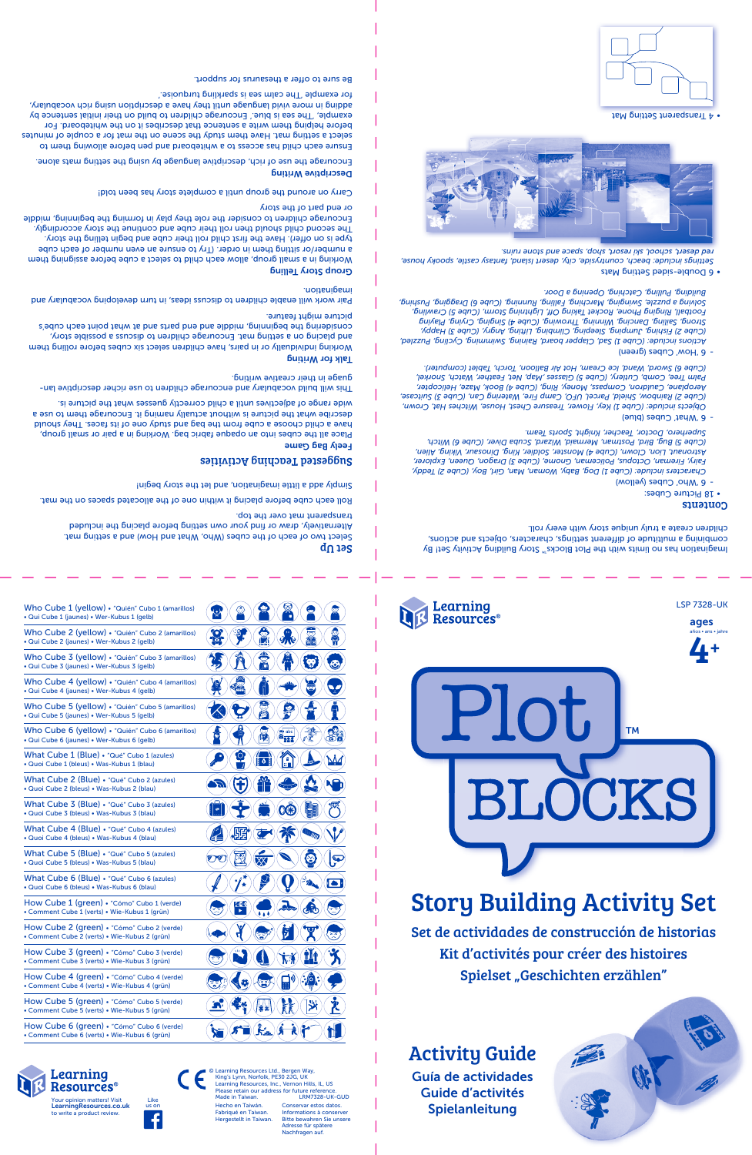Imagination has no limits with the Plot Blocks™ Story Building Activity Set! By combining a multitude of different settings, characters, objects and actions, children create a truly unique story with every roll.

# Contents

- 18 Picture Cubes:
- 6 'Who' Cubes (yellow)  *Characters include: (Cube 1) Dog, Baby, Woman, Man, Girl, Boy, (Cube 2) Teddy, Fairy, Fireman, Octopus, Policeman, Gnome, (Cube 3) Dragon, Queen, Explorer, Astronaut, Lion, Clown, (Cube 4) Monster, Soldier, King, Dinosaur, Viking, Alien, (Cube 5) Bug, Bird, Postman, Mermaid, Wizard, Scuba Diver, (Cube 6) Witch, Superhero, Doctor, Teacher, Knight, Sports Team.*
- e , What' Cubes (blue)
- *Objects include: (Cube 1) Key, Flower, Treasure Chest, House, Witches Hat, Crown, (Cube 2) Rainbow, Shield, Parcel, UFO, Camp Fire, Watering Can, (Cube 3) Suitcase, Aeroplane, Cauldron, Compass, Money, Ring, (Cube 4) Book, Maze, Helicopter, Palm Tree, Comb, Cutlery, (Cube 5) Glasses ,Map, Net, Feather, Watch, Snorkel, (Cube 6) Sword, Wand, Ice Cream, Hot Air Balloon, Torch, Tablet (computer).*
- 6 'How' Cubes (green)
- *Actions include: (Cube 1) Sad, Clapper board, Raining, Swimming, Cycling, Puzzled, (Cube 2) Fishing, Jumping, Sleeping, Climbing, Lifting, Angry, (Cube 3) Happy, Strong, Sailing, Dancing, Winning, Throwing, (Cube 4) Singing, Crying, Playing Football, Ringing Phone, Rocket Taking Off, Lightning Storm, (Cube 5) Crawling, Solving a puzzle, Swinging, Marching, Falling, Running, (Cube 6) Dragging, Pushing, Building, Pulling, Catching, Opening a Door.*
- 6 Double-sided Setting Mats

Pair work will enable children to discuss ideas, in turn developing vocabulary and imagination.  *Settings include: beach, countryside, city, desert Island, fantasy castle, spooky house, red desert, school, ski resort, shop, space and stone ruins.* 



#### • 4 Transparent Setting Mat



Set Up

Select two of each of the cubes (Who, What and How) and a setting mat. Alternatively, draw or find your own setting before placing the included transparent mat over the top.

Roll each cube before placing it within one of the allocated spaces on the mat.

© Learning Resources Ltd., Bergen Way, King's Lynn, Norfolk, PE30 2JG, UK Learning Resources, Inc., Vernon Hills, IL, US Please retain our address for future reference. Made in Taiwan. LRM7328-UK-GUD

Simply add a little imagination, and let the story begin!

# Suggested Teaching Activities

#### **Feely Bag Game**

Hecho en Taiwán. Conservar estos datos.<br>Fabriqué en Taiwan. Informations à conserv Fabriqué en Taiwan. Informations à conserve<br>Hergestellt in Taiwan. Bitte bewahren Sie unser Bitte bewahren Sie unsere Adresse für spätere Nachfragen auf.

Your opinion matters! Visit LearningResources.co.uk write a product review.

Place all the cubes into an opaque fabric bag. Working in a pair or small group, have a child choose a cube from the bag and study one of its faces. They should describe what the picture is without actually naming it. Encourage them to use a wide range of adjectives until a child correctly guesses what the picture is.

This will build vocabulary and encourage children to use richer descriptive language in their creative writing.

### Talk for Writing

Working individually or in pairs, have children select six cubes before rolling them and placing on a setting mat. Encourage children to discuss a possible story, considering the beginning, middle and parts and at what point each cube's picture might feature.

#### Group Story Telling

Working in a small group, allow each child to select a cube before assigning them a number/or sitting them in order. (Try to ensure an even number of each cube type is on offer). Have the first child roll their cube and begin telling the story. The second child should then roll their cube and continue the story accordingly. Encourage children to consider the role they play in forming the beginning, middle or end part of the story

> Set de actividades de construcción de historias Kit d'activités pour créer des histoires Spielset "Geschichten erzählen"

Learning **Resources** 

Carry on around the group until a complete story has been told!

# Descriptive Writing

Encourage the use of rich, descriptive language by using the setting mats alone.

Ensure each child has access to a whiteboard and pen before allowing them to select a setting mat. Have them study the scene on the mat for a couple of minutes before helping them write a sentence that describes it on the whiteboard. For example, 'The sea is blue.' Encourage children to build on their initial sentence by adding in more vivid language until they have a description using rich vocabulary, for example 'The calm sea is sparkling turquoise.'

Be sure to offer a thesaurus for support.

Like us on

| Who Cube 1 (yellow) • "Quién" Cubo 1 (amarillos)<br>• Qui Cube 1 (jaunes) • Wer-Kubus 1 (gelb) | اپ                           |
|------------------------------------------------------------------------------------------------|------------------------------|
| Who Cube 2 (yellow) • "Quién" Cubo 2 (amarillos)<br>• Qui Cube 2 (jaunes) • Wer-Kubus 2 (gelb) | $\mathbf{C}$<br>Ş<br>譒<br>动心 |
| Who Cube 3 (yellow) • "Quién" Cubo 3 (amarillos)<br>• Qui Cube 3 (jaunes) • Wer-Kubus 3 (gelb) | G                            |
| Who Cube 4 (yellow) • "Quién" Cubo 4 (amarillos)<br>• Qui Cube 4 (jaunes) • Wer-Kubus 4 (gelb) | 园<br>ĭ                       |
| Who Cube 5 (yellow) · "Quién" Cubo 5 (amarillos)<br>• Qui Cube 5 (jaunes) • Wer-Kubus 5 (gelb) | 鹤                            |
| Who Cube 6 (yellow) • "Quién" Cubo 6 (amarillos)<br>• Qui Cube 6 (jaunes) • Wer-Kubus 6 (gelb) | abc<br>388                   |
| What Cube 1 (Blue) . "Qué" Cubo 1 (azules)<br>• Quoi Cube 1 (bleus) • Was-Kubus 1 (blau)       | A<br>∥≬o                     |
| What Cube 2 (Blue) . "Qué" Cubo 2 (azules)<br>• Quoi Cube 2 (bleus) • Was-Kubus 2 (blau)       |                              |
| What Cube 3 (Blue) • "Qué" Cubo 3 (azules)<br>• Quoi Cube 3 (bleus) • Was-Kubus 3 (blau)       | 0.53                         |
| What Cube 4 (Blue) • "Qué" Cubo 4 (azules)<br>• Quoi Cube 4 (bleus) • Was-Kubus 4 (blau)       |                              |





# Activity Guide

Guía de actividades Guide d'activités Spielanleitung

# Story Building Activity Set